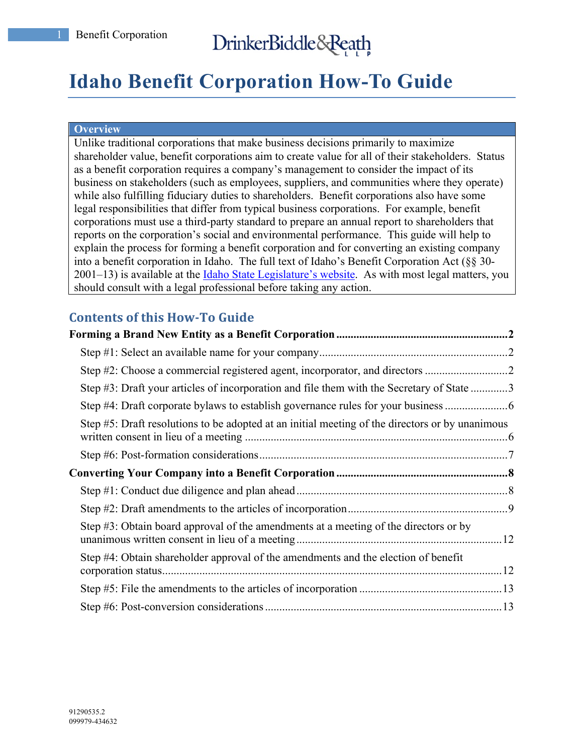# DrinkerBiddle&Reath

# **Idaho Benefit Corporation How-To Guide**

#### **Overview**

Unlike traditional corporations that make business decisions primarily to maximize shareholder value, benefit corporations aim to create value for all of their stakeholders. Status as a benefit corporation requires a company's management to consider the impact of its business on stakeholders (such as employees, suppliers, and communities where they operate) while also fulfilling fiduciary duties to shareholders. Benefit corporations also have some legal responsibilities that differ from typical business corporations. For example, benefit corporations must use a third-party standard to prepare an annual report to shareholders that reports on the corporation's social and environmental performance. This guide will help to explain the process for forming a benefit corporation and for converting an existing company into a benefit corporation in Idaho. The full text of Idaho's Benefit Corporation Act (§§ 30- 2001–13) is available at the Idaho State Legislature's website. As with most legal matters, you should consult with a legal professional before taking any action.

# **Contents of this How-To Guide**

| Step #2: Choose a commercial registered agent, incorporator, and directors                      |  |
|-------------------------------------------------------------------------------------------------|--|
| Step #3: Draft your articles of incorporation and file them with the Secretary of State 3       |  |
| Step #4: Draft corporate bylaws to establish governance rules for your business                 |  |
| Step #5: Draft resolutions to be adopted at an initial meeting of the directors or by unanimous |  |
|                                                                                                 |  |
|                                                                                                 |  |
|                                                                                                 |  |
|                                                                                                 |  |
| Step #3: Obtain board approval of the amendments at a meeting of the directors or by            |  |
| Step #4: Obtain shareholder approval of the amendments and the election of benefit              |  |
|                                                                                                 |  |
|                                                                                                 |  |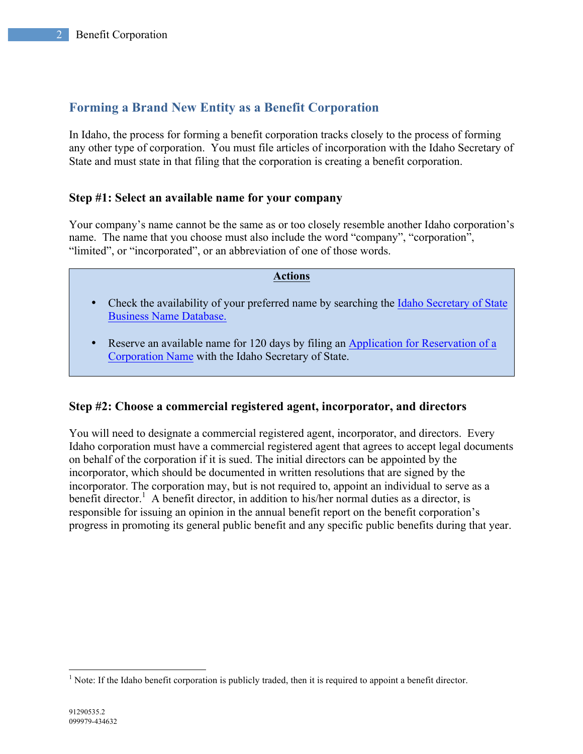# **Forming a Brand New Entity as a Benefit Corporation**

In Idaho, the process for forming a benefit corporation tracks closely to the process of forming any other type of corporation. You must file articles of incorporation with the Idaho Secretary of State and must state in that filing that the corporation is creating a benefit corporation.

## **Step #1: Select an available name for your company**

Your company's name cannot be the same as or too closely resemble another Idaho corporation's name. The name that you choose must also include the word "company", "corporation", "limited", or "incorporated", or an abbreviation of one of those words.

#### **Actions**

- Check the availability of your preferred name by searching the Idaho Secretary of State Business Name Database.
- Reserve an available name for 120 days by filing an Application for Reservation of a Corporation Name with the Idaho Secretary of State.

## **Step #2: Choose a commercial registered agent, incorporator, and directors**

You will need to designate a commercial registered agent, incorporator, and directors. Every Idaho corporation must have a commercial registered agent that agrees to accept legal documents on behalf of the corporation if it is sued. The initial directors can be appointed by the incorporator, which should be documented in written resolutions that are signed by the incorporator. The corporation may, but is not required to, appoint an individual to serve as a benefit director.<sup>1</sup> A benefit director, in addition to his/her normal duties as a director, is responsible for issuing an opinion in the annual benefit report on the benefit corporation's progress in promoting its general public benefit and any specific public benefits during that year.

<sup>&</sup>lt;sup>1</sup> Note: If the Idaho benefit corporation is publicly traded, then it is required to appoint a benefit director.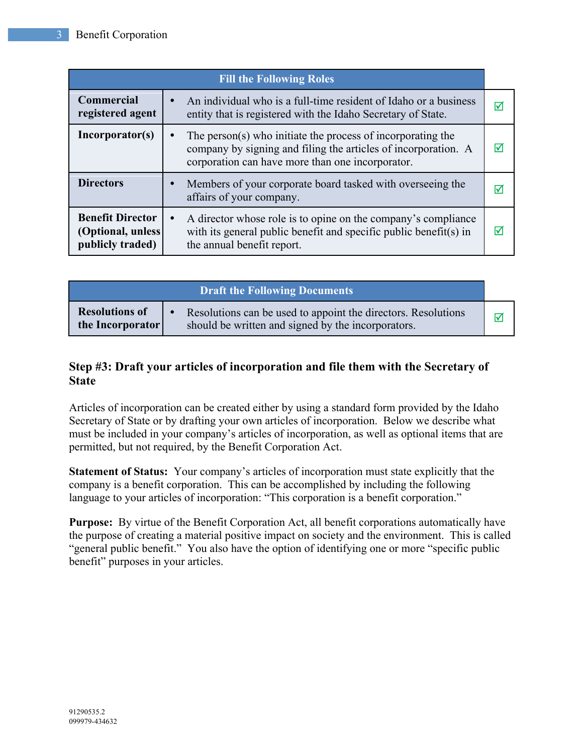| <b>Fill the Following Roles</b>                                   |                                                                                                                                                                                                |   |
|-------------------------------------------------------------------|------------------------------------------------------------------------------------------------------------------------------------------------------------------------------------------------|---|
| Commercial<br>registered agent                                    | An individual who is a full-time resident of Idaho or a business<br>$\bullet$<br>entity that is registered with the Idaho Secretary of State.                                                  | ⋈ |
| Incorporator(s)                                                   | The person(s) who initiate the process of incorporating the<br>$\bullet$<br>company by signing and filing the articles of incorporation. A<br>corporation can have more than one incorporator. | ⋈ |
| <b>Directors</b>                                                  | Members of your corporate board tasked with overseeing the<br>$\bullet$<br>affairs of your company.                                                                                            | M |
| <b>Benefit Director</b><br>(Optional, unless)<br>publicly traded) | A director whose role is to opine on the company's compliance<br>$\bullet$<br>with its general public benefit and specific public benefit(s) in<br>the annual benefit report.                  | ☑ |

| <b>Draft the Following Documents</b>      |                                                                                                                                  |  |
|-------------------------------------------|----------------------------------------------------------------------------------------------------------------------------------|--|
| <b>Resolutions of</b><br>the Incorporator | Resolutions can be used to appoint the directors. Resolutions<br>$\bullet$<br>should be written and signed by the incorporators. |  |

# **Step #3: Draft your articles of incorporation and file them with the Secretary of State**

Articles of incorporation can be created either by using a standard form provided by the Idaho Secretary of State or by drafting your own articles of incorporation. Below we describe what must be included in your company's articles of incorporation, as well as optional items that are permitted, but not required, by the Benefit Corporation Act.

**Statement of Status:** Your company's articles of incorporation must state explicitly that the company is a benefit corporation. This can be accomplished by including the following language to your articles of incorporation: "This corporation is a benefit corporation."

**Purpose:** By virtue of the Benefit Corporation Act, all benefit corporations automatically have the purpose of creating a material positive impact on society and the environment. This is called "general public benefit." You also have the option of identifying one or more "specific public benefit" purposes in your articles.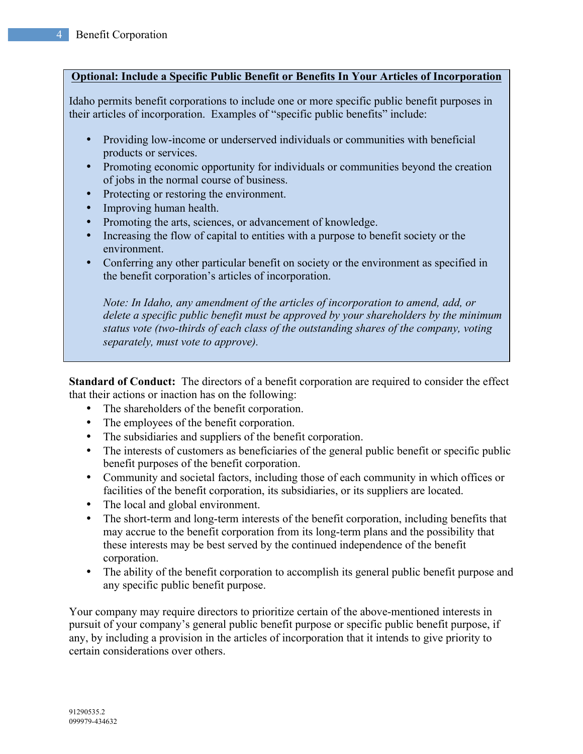#### **Optional: Include a Specific Public Benefit or Benefits In Your Articles of Incorporation**

Idaho permits benefit corporations to include one or more specific public benefit purposes in their articles of incorporation. Examples of "specific public benefits" include:

- Providing low-income or underserved individuals or communities with beneficial products or services.
- Promoting economic opportunity for individuals or communities beyond the creation of jobs in the normal course of business.
- Protecting or restoring the environment.
- Improving human health.
- Promoting the arts, sciences, or advancement of knowledge.
- Increasing the flow of capital to entities with a purpose to benefit society or the environment.
- Conferring any other particular benefit on society or the environment as specified in the benefit corporation's articles of incorporation.

*Note: In Idaho, any amendment of the articles of incorporation to amend, add, or delete a specific public benefit must be approved by your shareholders by the minimum status vote (two-thirds of each class of the outstanding shares of the company, voting separately, must vote to approve).*

**Standard of Conduct:** The directors of a benefit corporation are required to consider the effect that their actions or inaction has on the following:

- The shareholders of the benefit corporation.
- The employees of the benefit corporation.
- The subsidiaries and suppliers of the benefit corporation.
- The interests of customers as beneficiaries of the general public benefit or specific public benefit purposes of the benefit corporation.
- Community and societal factors, including those of each community in which offices or facilities of the benefit corporation, its subsidiaries, or its suppliers are located.
- The local and global environment.
- The short-term and long-term interests of the benefit corporation, including benefits that may accrue to the benefit corporation from its long-term plans and the possibility that these interests may be best served by the continued independence of the benefit corporation.
- The ability of the benefit corporation to accomplish its general public benefit purpose and any specific public benefit purpose.

Your company may require directors to prioritize certain of the above-mentioned interests in pursuit of your company's general public benefit purpose or specific public benefit purpose, if any, by including a provision in the articles of incorporation that it intends to give priority to certain considerations over others.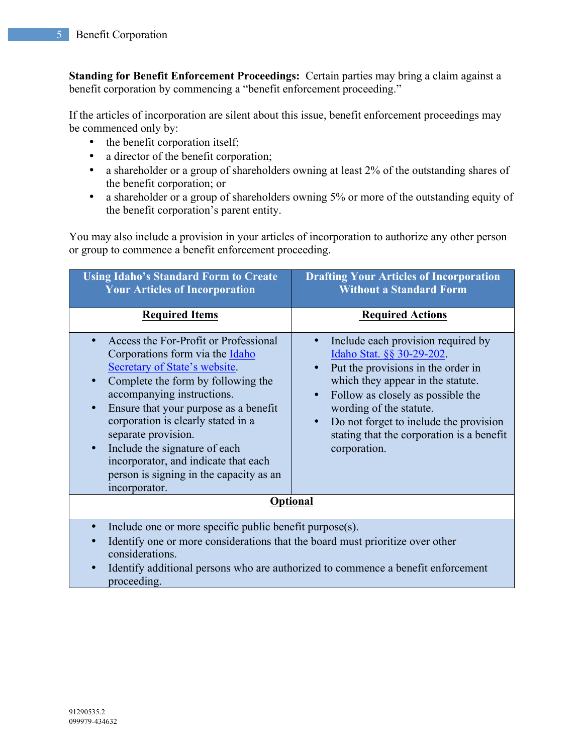**Standing for Benefit Enforcement Proceedings:** Certain parties may bring a claim against a benefit corporation by commencing a "benefit enforcement proceeding."

If the articles of incorporation are silent about this issue, benefit enforcement proceedings may be commenced only by:

- the benefit corporation itself;
- a director of the benefit corporation;
- a shareholder or a group of shareholders owning at least 2% of the outstanding shares of the benefit corporation; or
- a shareholder or a group of shareholders owning 5% or more of the outstanding equity of the benefit corporation's parent entity.

You may also include a provision in your articles of incorporation to authorize any other person or group to commence a benefit enforcement proceeding.

| <b>Using Idaho's Standard Form to Create</b><br><b>Your Articles of Incorporation</b>                                                                                                                                                                                                                                                                                                                                                                                        | <b>Drafting Your Articles of Incorporation</b><br><b>Without a Standard Form</b>                                                                                                                                                                                                                                                                         |  |
|------------------------------------------------------------------------------------------------------------------------------------------------------------------------------------------------------------------------------------------------------------------------------------------------------------------------------------------------------------------------------------------------------------------------------------------------------------------------------|----------------------------------------------------------------------------------------------------------------------------------------------------------------------------------------------------------------------------------------------------------------------------------------------------------------------------------------------------------|--|
| <b>Required Items</b>                                                                                                                                                                                                                                                                                                                                                                                                                                                        | <b>Required Actions</b>                                                                                                                                                                                                                                                                                                                                  |  |
| Access the For-Profit or Professional<br>$\bullet$<br>Corporations form via the Idaho<br>Secretary of State's website.<br>Complete the form by following the<br>$\bullet$<br>accompanying instructions.<br>Ensure that your purpose as a benefit<br>$\bullet$<br>corporation is clearly stated in a<br>separate provision.<br>Include the signature of each<br>$\bullet$<br>incorporator, and indicate that each<br>person is signing in the capacity as an<br>incorporator. | Include each provision required by<br>Idaho Stat. §§ 30-29-202.<br>Put the provisions in the order in<br>$\bullet$<br>which they appear in the statute.<br>Follow as closely as possible the<br>$\bullet$<br>wording of the statute.<br>Do not forget to include the provision<br>$\bullet$<br>stating that the corporation is a benefit<br>corporation. |  |
| <b>Optional</b>                                                                                                                                                                                                                                                                                                                                                                                                                                                              |                                                                                                                                                                                                                                                                                                                                                          |  |
| Include one or more specific public benefit purpose(s).<br>$\bullet$<br>Identify one or more considerations that the board must prioritize over other<br>$\bullet$<br>considerations.<br>Identify additional persons who are authorized to commence a benefit enforcement<br>$\bullet$<br>proceeding.                                                                                                                                                                        |                                                                                                                                                                                                                                                                                                                                                          |  |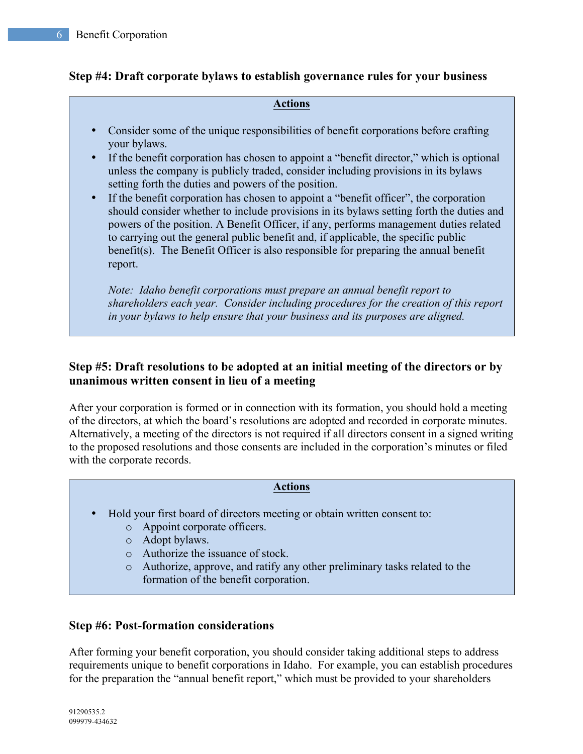## **Step #4: Draft corporate bylaws to establish governance rules for your business**

#### **Actions**

- Consider some of the unique responsibilities of benefit corporations before crafting your bylaws.
- If the benefit corporation has chosen to appoint a "benefit director," which is optional unless the company is publicly traded, consider including provisions in its bylaws setting forth the duties and powers of the position.
- If the benefit corporation has chosen to appoint a "benefit officer", the corporation should consider whether to include provisions in its bylaws setting forth the duties and powers of the position. A Benefit Officer, if any, performs management duties related to carrying out the general public benefit and, if applicable, the specific public benefit(s). The Benefit Officer is also responsible for preparing the annual benefit report.

*Note: Idaho benefit corporations must prepare an annual benefit report to shareholders each year. Consider including procedures for the creation of this report in your bylaws to help ensure that your business and its purposes are aligned.* 

# **Step #5: Draft resolutions to be adopted at an initial meeting of the directors or by unanimous written consent in lieu of a meeting**

After your corporation is formed or in connection with its formation, you should hold a meeting of the directors, at which the board's resolutions are adopted and recorded in corporate minutes. Alternatively, a meeting of the directors is not required if all directors consent in a signed writing to the proposed resolutions and those consents are included in the corporation's minutes or filed with the corporate records.

#### **Actions**

- Hold your first board of directors meeting or obtain written consent to:
	- o Appoint corporate officers.
	- o Adopt bylaws.
	- o Authorize the issuance of stock.
	- o Authorize, approve, and ratify any other preliminary tasks related to the formation of the benefit corporation.

#### **Step #6: Post-formation considerations**

After forming your benefit corporation, you should consider taking additional steps to address requirements unique to benefit corporations in Idaho. For example, you can establish procedures for the preparation the "annual benefit report," which must be provided to your shareholders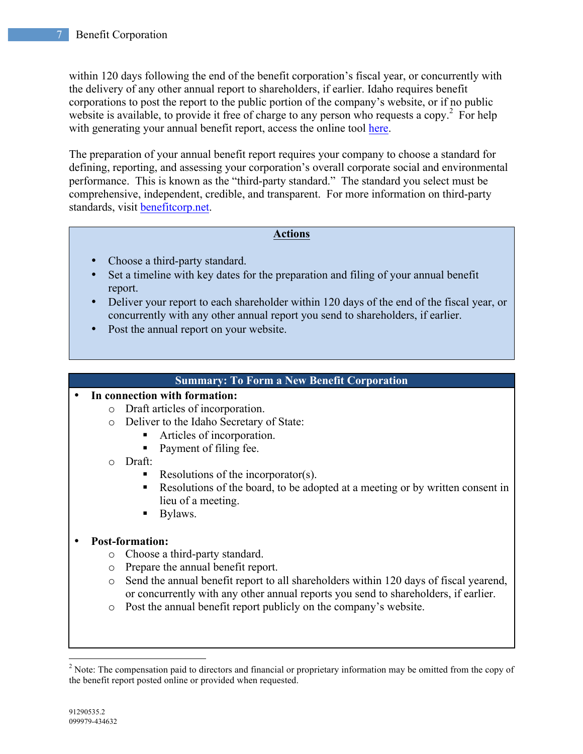within 120 days following the end of the benefit corporation's fiscal year, or concurrently with the delivery of any other annual report to shareholders, if earlier. Idaho requires benefit corporations to post the report to the public portion of the company's website, or if no public website is available, to provide it free of charge to any person who requests a copy.<sup>2</sup> For help with generating your annual benefit report, access the online tool here.

The preparation of your annual benefit report requires your company to choose a standard for defining, reporting, and assessing your corporation's overall corporate social and environmental performance. This is known as the "third-party standard." The standard you select must be comprehensive, independent, credible, and transparent. For more information on third-party standards, visit benefitcorp.net.

#### **Actions**

- Choose a third-party standard.
- Set a timeline with key dates for the preparation and filing of your annual benefit report.
- Deliver your report to each shareholder within 120 days of the end of the fiscal year, or concurrently with any other annual report you send to shareholders, if earlier.
- Post the annual report on your website.

#### **Summary: To Form a New Benefit Corporation**

#### • **In connection with formation:**

- o Draft articles of incorporation.
- o Deliver to the Idaho Secretary of State:
	- Articles of incorporation.
	- Payment of filing fee.
- o Draft:
	- Resolutions of the incorporator(s).
	- Resolutions of the board, to be adopted at a meeting or by written consent in lieu of a meeting.
	- Bylaws.

## • **Post-formation:**

- o Choose a third-party standard.
- o Prepare the annual benefit report.
- o Send the annual benefit report to all shareholders within 120 days of fiscal yearend, or concurrently with any other annual reports you send to shareholders, if earlier.
- o Post the annual benefit report publicly on the company's website.

<sup>&</sup>lt;sup>2</sup> Note: The compensation paid to directors and financial or proprietary information may be omitted from the copy of the benefit report posted online or provided when requested.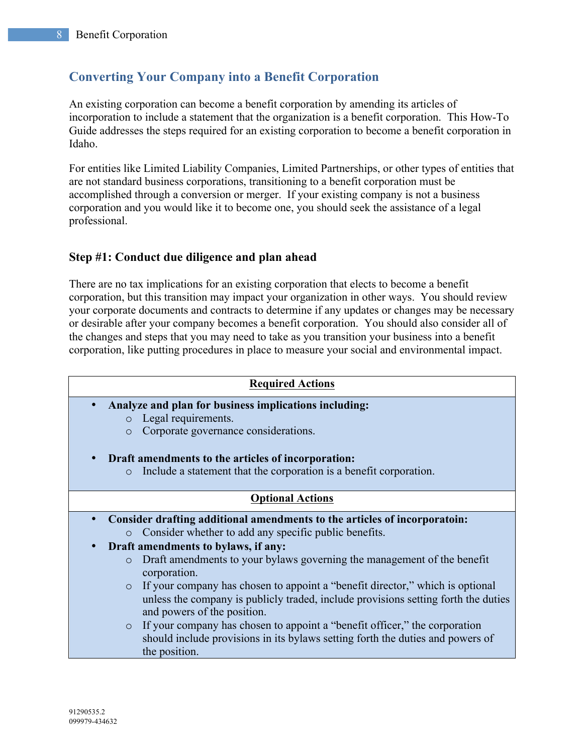# **Converting Your Company into a Benefit Corporation**

An existing corporation can become a benefit corporation by amending its articles of incorporation to include a statement that the organization is a benefit corporation. This How-To Guide addresses the steps required for an existing corporation to become a benefit corporation in Idaho.

For entities like Limited Liability Companies, Limited Partnerships, or other types of entities that are not standard business corporations, transitioning to a benefit corporation must be accomplished through a conversion or merger. If your existing company is not a business corporation and you would like it to become one, you should seek the assistance of a legal professional.

# **Step #1: Conduct due diligence and plan ahead**

There are no tax implications for an existing corporation that elects to become a benefit corporation, but this transition may impact your organization in other ways. You should review your corporate documents and contracts to determine if any updates or changes may be necessary or desirable after your company becomes a benefit corporation. You should also consider all of the changes and steps that you may need to take as you transition your business into a benefit corporation, like putting procedures in place to measure your social and environmental impact.

| <b>Required Actions</b>                                                                                                                                                                                                                                                                                                                                                                                                                                                                                                                                                                                                                                                                                               |  |  |
|-----------------------------------------------------------------------------------------------------------------------------------------------------------------------------------------------------------------------------------------------------------------------------------------------------------------------------------------------------------------------------------------------------------------------------------------------------------------------------------------------------------------------------------------------------------------------------------------------------------------------------------------------------------------------------------------------------------------------|--|--|
| Analyze and plan for business implications including:<br>$\bullet$<br>Legal requirements.<br>$\circ$<br>Corporate governance considerations.<br>$\circ$<br>Draft amendments to the articles of incorporation:<br>Include a statement that the corporation is a benefit corporation.<br>$\circ$                                                                                                                                                                                                                                                                                                                                                                                                                        |  |  |
| <b>Optional Actions</b>                                                                                                                                                                                                                                                                                                                                                                                                                                                                                                                                                                                                                                                                                               |  |  |
| Consider drafting additional amendments to the articles of incorporatoin:<br>$\bullet$<br>Consider whether to add any specific public benefits.<br>$\circ$<br>Draft amendments to bylaws, if any:<br>Draft amendments to your bylaws governing the management of the benefit<br>$\circ$<br>corporation.<br>If your company has chosen to appoint a "benefit director," which is optional<br>$\circ$<br>unless the company is publicly traded, include provisions setting forth the duties<br>and powers of the position.<br>If your company has chosen to appoint a "benefit officer," the corporation<br>$\circ$<br>should include provisions in its by laws setting forth the duties and powers of<br>the position. |  |  |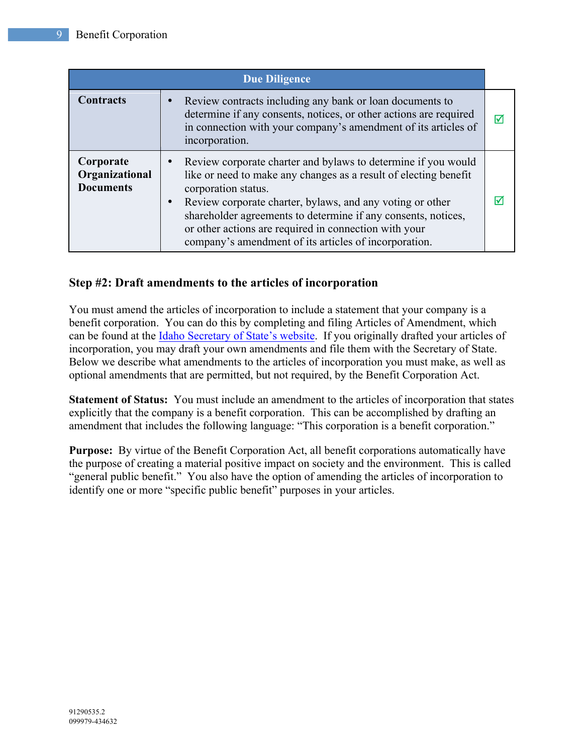| <b>Due Diligence</b>                            |                                                                                                                                                                                                                                                                                                                                                                                                          |   |
|-------------------------------------------------|----------------------------------------------------------------------------------------------------------------------------------------------------------------------------------------------------------------------------------------------------------------------------------------------------------------------------------------------------------------------------------------------------------|---|
| <b>Contracts</b>                                | • Review contracts including any bank or loan documents to<br>determine if any consents, notices, or other actions are required<br>in connection with your company's amendment of its articles of<br>incorporation.                                                                                                                                                                                      | ⋈ |
| Corporate<br>Organizational<br><b>Documents</b> | Review corporate charter and bylaws to determine if you would<br>like or need to make any changes as a result of electing benefit<br>corporation status.<br>Review corporate charter, bylaws, and any voting or other<br>shareholder agreements to determine if any consents, notices,<br>or other actions are required in connection with your<br>company's amendment of its articles of incorporation. | ∇ |

# **Step #2: Draft amendments to the articles of incorporation**

You must amend the articles of incorporation to include a statement that your company is a benefit corporation. You can do this by completing and filing Articles of Amendment, which can be found at the Idaho Secretary of State's website. If you originally drafted your articles of incorporation, you may draft your own amendments and file them with the Secretary of State. Below we describe what amendments to the articles of incorporation you must make, as well as optional amendments that are permitted, but not required, by the Benefit Corporation Act.

**Statement of Status:** You must include an amendment to the articles of incorporation that states explicitly that the company is a benefit corporation. This can be accomplished by drafting an amendment that includes the following language: "This corporation is a benefit corporation."

**Purpose:** By virtue of the Benefit Corporation Act, all benefit corporations automatically have the purpose of creating a material positive impact on society and the environment. This is called "general public benefit." You also have the option of amending the articles of incorporation to identify one or more "specific public benefit" purposes in your articles.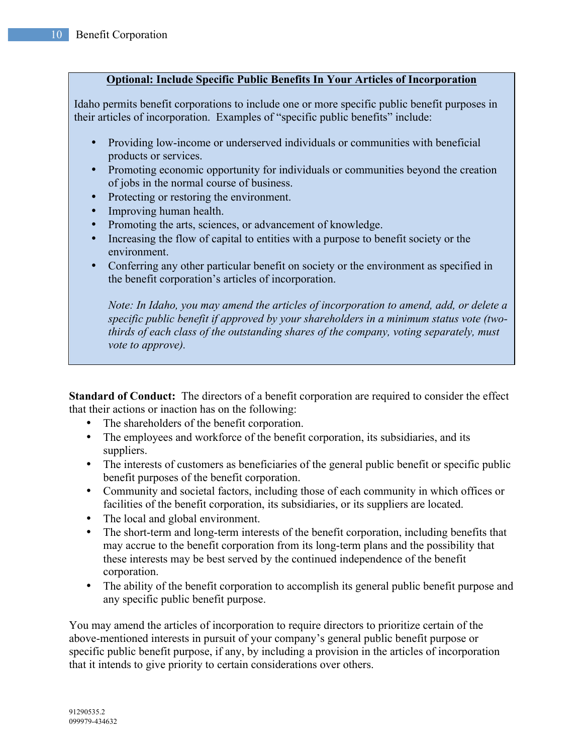#### **Optional: Include Specific Public Benefits In Your Articles of Incorporation**

Idaho permits benefit corporations to include one or more specific public benefit purposes in their articles of incorporation. Examples of "specific public benefits" include:

- Providing low-income or underserved individuals or communities with beneficial products or services.
- Promoting economic opportunity for individuals or communities beyond the creation of jobs in the normal course of business.
- Protecting or restoring the environment.
- Improving human health.
- Promoting the arts, sciences, or advancement of knowledge.
- Increasing the flow of capital to entities with a purpose to benefit society or the environment.
- Conferring any other particular benefit on society or the environment as specified in the benefit corporation's articles of incorporation.

*Note: In Idaho, you may amend the articles of incorporation to amend, add, or delete a specific public benefit if approved by your shareholders in a minimum status vote (twothirds of each class of the outstanding shares of the company, voting separately, must vote to approve).* 

**Standard of Conduct:** The directors of a benefit corporation are required to consider the effect that their actions or inaction has on the following:

- The shareholders of the benefit corporation.
- The employees and workforce of the benefit corporation, its subsidiaries, and its suppliers.
- The interests of customers as beneficiaries of the general public benefit or specific public benefit purposes of the benefit corporation.
- Community and societal factors, including those of each community in which offices or facilities of the benefit corporation, its subsidiaries, or its suppliers are located.
- The local and global environment.
- The short-term and long-term interests of the benefit corporation, including benefits that may accrue to the benefit corporation from its long-term plans and the possibility that these interests may be best served by the continued independence of the benefit corporation.
- The ability of the benefit corporation to accomplish its general public benefit purpose and any specific public benefit purpose.

You may amend the articles of incorporation to require directors to prioritize certain of the above-mentioned interests in pursuit of your company's general public benefit purpose or specific public benefit purpose, if any, by including a provision in the articles of incorporation that it intends to give priority to certain considerations over others.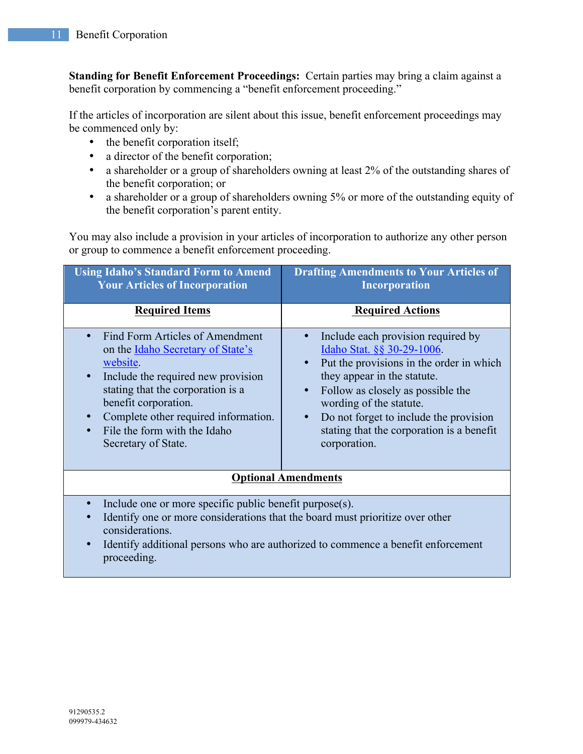**Standing for Benefit Enforcement Proceedings:** Certain parties may bring a claim against a benefit corporation by commencing a "benefit enforcement proceeding."

If the articles of incorporation are silent about this issue, benefit enforcement proceedings may be commenced only by:

- the benefit corporation itself;
- a director of the benefit corporation;
- a shareholder or a group of shareholders owning at least 2% of the outstanding shares of the benefit corporation; or
- a shareholder or a group of shareholders owning 5% or more of the outstanding equity of the benefit corporation's parent entity.

You may also include a provision in your articles of incorporation to authorize any other person or group to commence a benefit enforcement proceeding.

| <b>Using Idaho's Standard Form to Amend</b><br><b>Your Articles of Incorporation</b>                                                                                                                                                                                               | <b>Drafting Amendments to Your Articles of</b><br><b>Incorporation</b>                                                                                                                                                                                                                                                                       |  |
|------------------------------------------------------------------------------------------------------------------------------------------------------------------------------------------------------------------------------------------------------------------------------------|----------------------------------------------------------------------------------------------------------------------------------------------------------------------------------------------------------------------------------------------------------------------------------------------------------------------------------------------|--|
| <b>Required Items</b>                                                                                                                                                                                                                                                              | <b>Required Actions</b>                                                                                                                                                                                                                                                                                                                      |  |
| Find Form Articles of Amendment<br>on the Idaho Secretary of State's<br>website.<br>Include the required new provision<br>stating that the corporation is a<br>benefit corporation.<br>Complete other required information.<br>File the form with the Idaho<br>Secretary of State. | Include each provision required by<br>Idaho Stat. §§ 30-29-1006.<br>Put the provisions in the order in which<br>they appear in the statute.<br>Follow as closely as possible the<br>$\bullet$<br>wording of the statute.<br>Do not forget to include the provision<br>$\bullet$<br>stating that the corporation is a benefit<br>corporation. |  |
| <b>Optional Amendments</b>                                                                                                                                                                                                                                                         |                                                                                                                                                                                                                                                                                                                                              |  |
| Include one or more specific public benefit purpose(s).<br>Identify one or more considerations that the board must prioritize over other                                                                                                                                           |                                                                                                                                                                                                                                                                                                                                              |  |

- Identify one or more considerations that the board must prioritize over other considerations.
- Identify additional persons who are authorized to commence a benefit enforcement proceeding.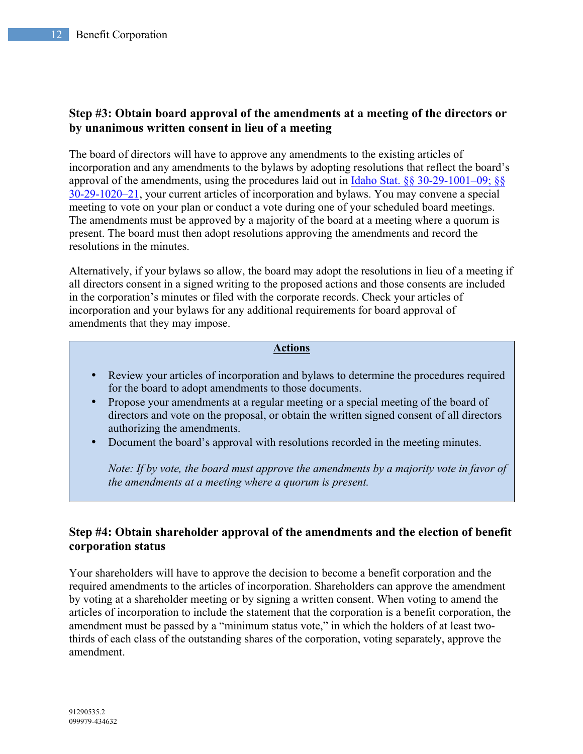# **Step #3: Obtain board approval of the amendments at a meeting of the directors or by unanimous written consent in lieu of a meeting**

The board of directors will have to approve any amendments to the existing articles of incorporation and any amendments to the bylaws by adopting resolutions that reflect the board's approval of the amendments, using the procedures laid out in Idaho Stat. §§ 30-29-1001–09; §§ 30-29-1020–21, your current articles of incorporation and bylaws. You may convene a special meeting to vote on your plan or conduct a vote during one of your scheduled board meetings. The amendments must be approved by a majority of the board at a meeting where a quorum is present. The board must then adopt resolutions approving the amendments and record the resolutions in the minutes.

Alternatively, if your bylaws so allow, the board may adopt the resolutions in lieu of a meeting if all directors consent in a signed writing to the proposed actions and those consents are included in the corporation's minutes or filed with the corporate records. Check your articles of incorporation and your bylaws for any additional requirements for board approval of amendments that they may impose.

#### **Actions**

- Review your articles of incorporation and bylaws to determine the procedures required for the board to adopt amendments to those documents.
- Propose your amendments at a regular meeting or a special meeting of the board of directors and vote on the proposal, or obtain the written signed consent of all directors authorizing the amendments.
- Document the board's approval with resolutions recorded in the meeting minutes.

*Note: If by vote, the board must approve the amendments by a majority vote in favor of the amendments at a meeting where a quorum is present.*

## **Step #4: Obtain shareholder approval of the amendments and the election of benefit corporation status**

Your shareholders will have to approve the decision to become a benefit corporation and the required amendments to the articles of incorporation. Shareholders can approve the amendment by voting at a shareholder meeting or by signing a written consent. When voting to amend the articles of incorporation to include the statement that the corporation is a benefit corporation, the amendment must be passed by a "minimum status vote," in which the holders of at least twothirds of each class of the outstanding shares of the corporation, voting separately, approve the amendment.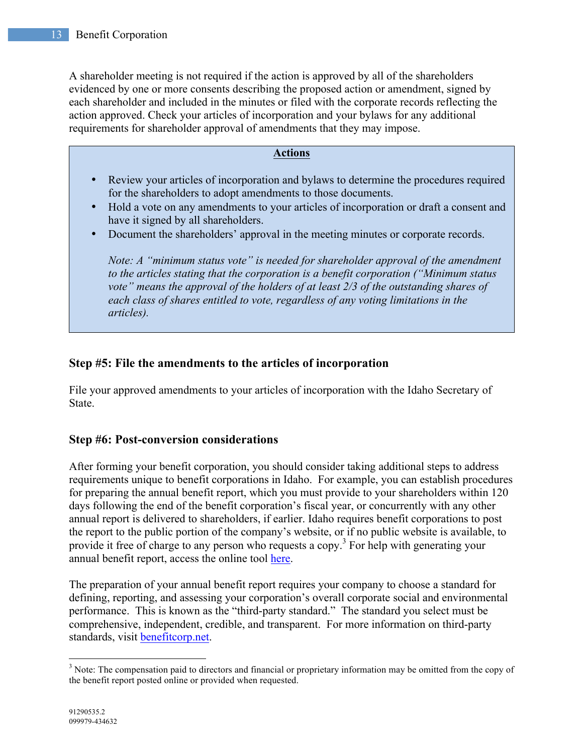A shareholder meeting is not required if the action is approved by all of the shareholders evidenced by one or more consents describing the proposed action or amendment, signed by each shareholder and included in the minutes or filed with the corporate records reflecting the action approved. Check your articles of incorporation and your bylaws for any additional requirements for shareholder approval of amendments that they may impose.

#### **Actions**

- Review your articles of incorporation and bylaws to determine the procedures required for the shareholders to adopt amendments to those documents.
- Hold a vote on any amendments to your articles of incorporation or draft a consent and have it signed by all shareholders.
- Document the shareholders' approval in the meeting minutes or corporate records.

*Note: A "minimum status vote" is needed for shareholder approval of the amendment to the articles stating that the corporation is a benefit corporation ("Minimum status vote" means the approval of the holders of at least 2/3 of the outstanding shares of each class of shares entitled to vote, regardless of any voting limitations in the articles).*

## **Step #5: File the amendments to the articles of incorporation**

File your approved amendments to your articles of incorporation with the Idaho Secretary of State.

## **Step #6: Post-conversion considerations**

After forming your benefit corporation, you should consider taking additional steps to address requirements unique to benefit corporations in Idaho. For example, you can establish procedures for preparing the annual benefit report, which you must provide to your shareholders within 120 days following the end of the benefit corporation's fiscal year, or concurrently with any other annual report is delivered to shareholders, if earlier. Idaho requires benefit corporations to post the report to the public portion of the company's website, or if no public website is available, to provide it free of charge to any person who requests a copy.<sup>3</sup> For help with generating your annual benefit report, access the online tool here.

The preparation of your annual benefit report requires your company to choose a standard for defining, reporting, and assessing your corporation's overall corporate social and environmental performance. This is known as the "third-party standard." The standard you select must be comprehensive, independent, credible, and transparent. For more information on third-party standards, visit benefitcorp.net.

<sup>&</sup>lt;sup>3</sup> Note: The compensation paid to directors and financial or proprietary information may be omitted from the copy of the benefit report posted online or provided when requested.